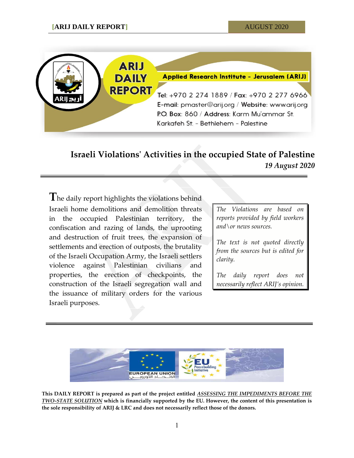

## **Israeli Violations' Activities in the occupied State of Palestine** *19 August 2020*

**T**he daily report highlights the violations behind Israeli home demolitions and demolition threats in the occupied Palestinian territory, the confiscation and razing of lands, the uprooting and destruction of fruit trees, the expansion of settlements and erection of outposts, the brutality of the Israeli Occupation Army, the Israeli settlers violence against Palestinian civilians and properties, the erection of checkpoints, the construction of the Israeli segregation wall and the issuance of military orders for the various Israeli purposes.

*The Violations are based on reports provided by field workers and\or news sources.*

*The text is not quoted directly from the sources but is edited for clarity.*

*The daily report does not necessarily reflect ARIJ's opinion.*



**This DAILY REPORT is prepared as part of the project entitled** *ASSESSING THE IMPEDIMENTS BEFORE THE TWO-STATE SOLUTION* **which is financially supported by the EU. However, the content of this presentation is the sole responsibility of ARIJ & LRC and does not necessarily reflect those of the donors.**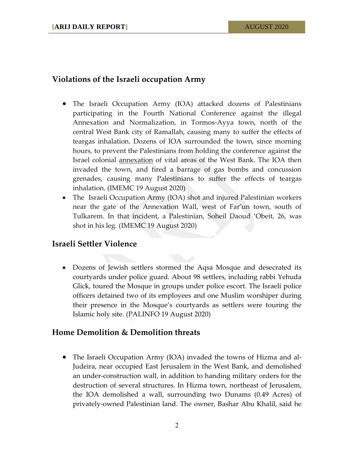## **Violations of the Israeli occupation Army**

- The Israeli Occupation Army (IOA) attacked dozens of Palestinians participating in the Fourth National Conference against the illegal Annexation and Normalization, in Tormos-Ayya town, north of the central West Bank city of Ramallah, causing many to suffer the effects of teargas inhalation. Dozens of IOA surrounded the town, since morning hours, to prevent the Palestinians from holding the conference against the Israel colonial [annexation](https://electronicintifada.net/content/how-will-annexation-change-legal-landscape-west-bank/30881) of vital areas of the West Bank. The IOA then invaded the town, and fired a barrage of gas bombs and concussion grenades, causing many Palestinians to suffer the effects of teargas inhalation. (IMEMC 19 August 2020)
- The Israeli Occupation Army (IOA) shot and injured Palestinian workers near the gate of the Annexation Wall, west of Far'un town, south of Tulkarem. In that incident, a Palestinian, Soheil Daoud 'Obeit, 26, was shot in his leg. (IMEMC 19 August 2020)

## **Israeli Settler Violence**

 Dozens of Jewish settlers stormed the Aqsa Mosque and desecrated its courtyards under police guard. About 98 settlers, including rabbi Yehuda Glick, toured the Mosque in groups under police escort. The Israeli police officers detained two of its employees and one Muslim worshiper during their presence in the Mosque's courtyards as settlers were touring the Islamic holy site. (PALINFO 19 August 2020)

## **Home Demolition & Demolition threats**

 The Israeli Occupation Army (IOA) invaded the towns of Hizma and al-Judeira, near occupied East Jerusalem in the West Bank, and demolished an under-construction wall, in addition to handing military orders for the destruction of several structures. In Hizma town, northeast of Jerusalem, the IOA demolished a wall, surrounding two Dunams (0.49 Acres) of privately-owned Palestinian land. The owner, Bashar Abu Khalil, said he